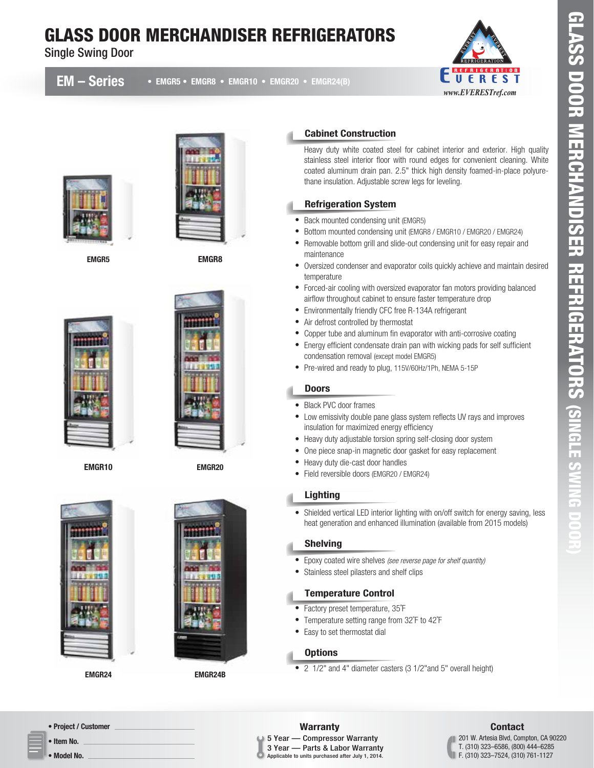# GLASS DOOR MERCHANDISER REFRIGERATORS

Single Swing Door

### EM – Series

• EMGR5 • EMGR8 • EMGR10 • EMGR20 • EMGR24(B)





EMGR5 EMGR8



EMGR10



EMGR20



EMGR24 EMGR24B



#### Cabinet Construction

Heavy duty white coated steel for cabinet interior and exterior. High quality stainless steel interior floor with round edges for convenient cleaning. White coated aluminum drain pan. 2.5" thick high density foamed-in-place polyurethane insulation. Adjustable screw legs for leveling.

#### Refrigeration System

- Back mounted condensing unit (EMGR5)
- Bottom mounted condensing unit (EMGR8 / EMGR10 / EMGR20 / EMGR24)
- Removable bottom grill and slide-out condensing unit for easy repair and maintenance
- Oversized condenser and evaporator coils quickly achieve and maintain desired temperature
- Forced-air cooling with oversized evaporator fan motors providing balanced airflow throughout cabinet to ensure faster temperature drop
- Environmentally friendly CFC free R-134A refrigerant
- $\bullet$ Air defrost controlled by thermostat
- $\bullet$ Copper tube and aluminum fin evaporator with anti-corrosive coating
- Energy efficient condensate drain pan with wicking pads for self sufficient condensation removal (except model EMGR5)
- Pre-wired and ready to plug, 115V/60Hz/1Ph, NEMA 5-15P

#### Doors

- Black PVC door frames
- Low emissivity double pane glass system reflects UV rays and improves insulation for maximized energy efficiency
- Heavy duty adjustable torsion spring self-closing door system
- One piece snap-in magnetic door gasket for easy replacement
- Heavy duty die-cast door handles
- Field reversible doors (EMGR20 / EMGR24)

#### **Lighting**

• Shielded vertical LED interior lighting with on/off switch for energy saving, less heat generation and enhanced illumination (available from 2015 models)

#### Shelving

- Epoxy coated wire shelves *(see reverse page for shelf quantity)*
- Stainless steel pilasters and shelf clips

#### Temperature Control

- Factory preset temperature, 35˚F
- Temperature setting range from 32˚F to 42˚F
- Easy to set thermostat dial

#### **Options**

• 2 1/2" and 4" diameter casters (3 1/2"and 5" overall height)

• Project / Customer

• Item No.

• Model No.

## Warranty **Contact**

#### 5 Year — Compressor Warranty 3 Year — Parts & Labor Warranty

Applicable to units purchased after July 1, 2014.